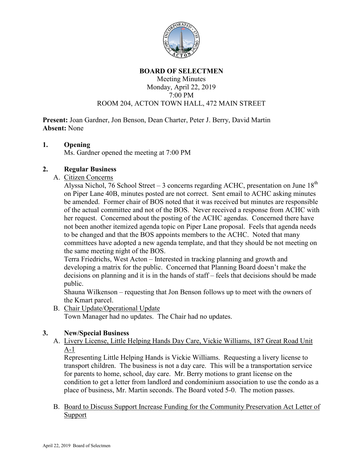

#### **BOARD OF SELECTMEN**

## Meeting Minutes Monday, April 22, 2019 7:00 PM ROOM 204, ACTON TOWN HALL, 472 MAIN STREET

**Present:** Joan Gardner, Jon Benson, Dean Charter, Peter J. Berry, David Martin **Absent:** None

## **1. Opening**

Ms. Gardner opened the meeting at 7:00 PM

# **2. Regular Business**

A. Citizen Concerns

Alyssa Nichol, 76 School Street – 3 concerns regarding ACHC, presentation on June  $18<sup>th</sup>$ on Piper Lane 40B, minutes posted are not correct. Sent email to ACHC asking minutes be amended. Former chair of BOS noted that it was received but minutes are responsible of the actual committee and not of the BOS. Never received a response from ACHC with her request. Concerned about the posting of the ACHC agendas. Concerned there have not been another itemized agenda topic on Piper Lane proposal. Feels that agenda needs to be changed and that the BOS appoints members to the ACHC. Noted that many committees have adopted a new agenda template, and that they should be not meeting on the same meeting night of the BOS.

Terra Friedrichs, West Acton – Interested in tracking planning and growth and developing a matrix for the public. Concerned that Planning Board doesn't make the decisions on planning and it is in the hands of staff – feels that decisions should be made public.

Shauna Wilkenson – requesting that Jon Benson follows up to meet with the owners of the Kmart parcel.

B. Chair Update/Operational Update

Town Manager had no updates. The Chair had no updates.

# **3. New/Special Business**

A. Livery License, Little Helping Hands Day Care, Vickie Williams, 187 Great Road Unit A-1

Representing Little Helping Hands is Vickie Williams. Requesting a livery license to transport children. The business is not a day care. This will be a transportation service for parents to home, school, day care. Mr. Berry motions to grant license on the condition to get a letter from landlord and condominium association to use the condo as a place of business, Mr. Martin seconds. The Board voted 5-0. The motion passes.

B. Board to Discuss Support Increase Funding for the Community Preservation Act Letter of Support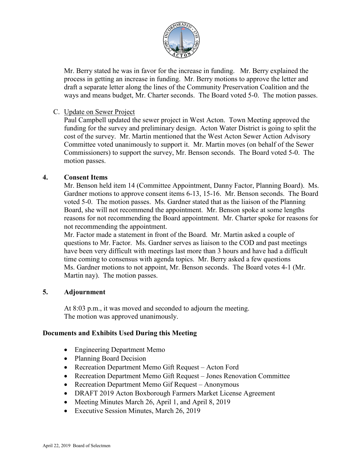

Mr. Berry stated he was in favor for the increase in funding. Mr. Berry explained the process in getting an increase in funding. Mr. Berry motions to approve the letter and draft a separate letter along the lines of the Community Preservation Coalition and the ways and means budget, Mr. Charter seconds. The Board voted 5-0. The motion passes.

## C. Update on Sewer Project

Paul Campbell updated the sewer project in West Acton. Town Meeting approved the funding for the survey and preliminary design. Acton Water District is going to split the cost of the survey. Mr. Martin mentioned that the West Acton Sewer Action Advisory Committee voted unanimously to support it. Mr. Martin moves (on behalf of the Sewer Commissioners) to support the survey, Mr. Benson seconds. The Board voted 5-0. The motion passes.

## **4. Consent Items**

Mr. Benson held item 14 (Committee Appointment, Danny Factor, Planning Board). Ms. Gardner motions to approve consent items 6-13, 15-16. Mr. Benson seconds. The Board voted 5-0. The motion passes. Ms. Gardner stated that as the liaison of the Planning Board, she will not recommend the appointment. Mr. Benson spoke at some lengths reasons for not recommending the Board appointment. Mr. Charter spoke for reasons for not recommending the appointment.

Mr. Factor made a statement in front of the Board. Mr. Martin asked a couple of questions to Mr. Factor. Ms. Gardner serves as liaison to the COD and past meetings have been very difficult with meetings last more than 3 hours and have had a difficult time coming to consensus with agenda topics. Mr. Berry asked a few questions Ms. Gardner motions to not appoint, Mr. Benson seconds. The Board votes 4-1 (Mr. Martin nay). The motion passes.

### **5. Adjournment**

At 8:03 p.m., it was moved and seconded to adjourn the meeting. The motion was approved unanimously.

### **Documents and Exhibits Used During this Meeting**

- Engineering Department Memo
- Planning Board Decision
- Recreation Department Memo Gift Request Acton Ford
- Recreation Department Memo Gift Request Jones Renovation Committee
- Recreation Department Memo Gif Request Anonymous
- DRAFT 2019 Acton Boxborough Farmers Market License Agreement
- Meeting Minutes March 26, April 1, and April 8, 2019
- Executive Session Minutes, March 26, 2019